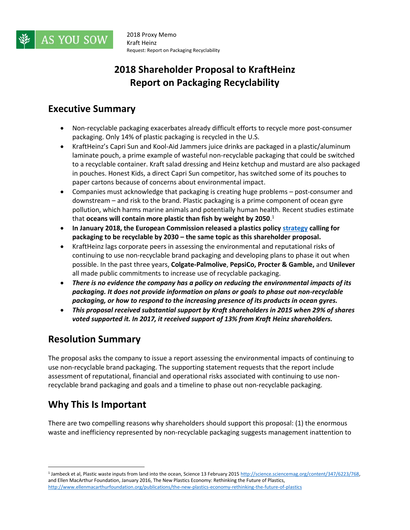

# **2018 Shareholder Proposal to KraftHeinz Report on Packaging Recyclability**

#### **Executive Summary**

- Non-recyclable packaging exacerbates already difficult efforts to recycle more post-consumer packaging. Only 14% of plastic packaging is recycled in the U.S.
- KraftHeinz's Capri Sun and Kool-Aid Jammers juice drinks are packaged in a plastic/aluminum laminate pouch, a prime example of wasteful non-recyclable packaging that could be switched to a recyclable container. Kraft salad dressing and Heinz ketchup and mustard are also packaged in pouches. Honest Kids, a direct Capri Sun competitor, has switched some of its pouches to paper cartons because of concerns about environmental impact.
- Companies must acknowledge that packaging is creating huge problems post-consumer and downstream – and risk to the brand. Plastic packaging is a prime component of ocean gyre pollution, which harms marine animals and potentially human health. Recent studies estimate that **oceans will contain more plastic than fish by weight by 2050**. 1
- **In January 2018, the European Commission released a plastics policy [strategy](http://europa.eu/rapid/press-release_IP-18-5_en.htm) calling for packaging to be recyclable by 2030 – the same topic as this shareholder proposal.**
- KraftHeinz lags corporate peers in assessing the environmental and reputational risks of continuing to use non-recyclable brand packaging and developing plans to phase it out when possible. In the past three years, **Colgate-Palmolive**, **PepsiCo, Procter & Gamble,** and **Unilever**  all made public commitments to increase use of recyclable packaging.
- *There is no evidence the company has a policy on reducing the environmental impacts of its packaging. It does not provide information on plans or goals to phase out non-recyclable packaging, or how to respond to the increasing presence of its products in ocean gyres.*
- *This proposal received substantial support by Kraft shareholders in 2015 when 29% of shares voted supported it. In 2017, it received support of 13% from Kraft Heinz shareholders.*

### **Resolution Summary**

The proposal asks the company to issue a report assessing the environmental impacts of continuing to use non-recyclable brand packaging. The supporting statement requests that the report include assessment of reputational, financial and operational risks associated with continuing to use nonrecyclable brand packaging and goals and a timeline to phase out non-recyclable packaging.

## **Why This Is Important**

 $\overline{a}$ 

There are two compelling reasons why shareholders should support this proposal: (1) the enormous waste and inefficiency represented by non-recyclable packaging suggests management inattention to

<sup>&</sup>lt;sup>1</sup> Jambeck et al, Plastic waste inputs from land into the ocean, Science 13 February 2015 http://science.sciencemag.org/content/347/6223/768, and Ellen MacArthur Foundation, January 2016, The New Plastics Economy: Rethinking the Future of Plastics, <http://www.ellenmacarthurfoundation.org/publications/the-new-plastics-economy-rethinking-the-future-of-plastics>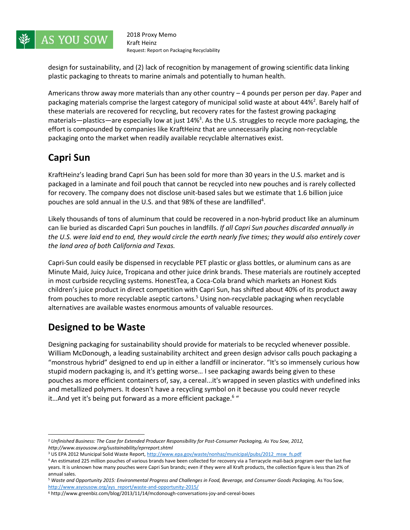

design for sustainability, and (2) lack of recognition by management of growing scientific data linking plastic packaging to threats to marine animals and potentially to human health.

Americans throw away more materials than any other country – 4 pounds per person per day. Paper and packaging materials comprise the largest category of municipal solid waste at about 44%<sup>2</sup>. Barely half of these materials are recovered for recycling, but recovery rates for the fastest growing packaging materials—plastics—are especially low at just 14%<sup>3</sup>. As the U.S. struggles to recycle more packaging, the effort is compounded by companies like KraftHeinz that are unnecessarily placing non-recyclable packaging onto the market when readily available recyclable alternatives exist.

### **Capri Sun**

KraftHeinz's leading brand Capri Sun has been sold for more than 30 years in the U.S. market and is packaged in a laminate and foil pouch that cannot be recycled into new pouches and is rarely collected for recovery. The company does not disclose unit-based sales but we estimate that 1.6 billion juice pouches are sold annual in the U.S. and that 98% of these are landfilled<sup>4</sup>.

Likely thousands of tons of aluminum that could be recovered in a non-hybrid product like an aluminum can lie buried as discarded Capri Sun pouches in landfills. *If all Capri Sun pouches discarded annually in the U.S. were laid end to end, they would circle the earth nearly five times; they would also entirely cover the land area of both California and Texas.* 

Capri-Sun could easily be dispensed in recyclable PET plastic or glass bottles, or aluminum cans as are Minute Maid, Juicy Juice, Tropicana and other juice drink brands. These materials are routinely accepted in most curbside recycling systems. HonestTea, a Coca-Cola brand which markets an Honest Kids children's juice product in direct competition with Capri Sun, has shifted about 40% of its product away from pouches to more recyclable aseptic cartons.<sup>5</sup> Using non-recyclable packaging when recyclable alternatives are available wastes enormous amounts of valuable resources.

### **Designed to be Waste**

 $\overline{a}$ 

Designing packaging for sustainability should provide for materials to be recycled whenever possible. William McDonough, a leading sustainability architect and green design advisor calls pouch packaging a "monstrous hybrid" designed to end up in either a landfill or incinerator. "It's so immensely curious how stupid modern packaging is, and it's getting worse… I see packaging awards being given to these pouches as more efficient containers of, say, a cereal...it's wrapped in seven plastics with undefined inks and metallized polymers. It doesn't have a recycling symbol on it because you could never recycle it...And yet it's being put forward as a more efficient package.<sup>6</sup> "

<sup>2</sup> *Unfinished Business: The Case for Extended Producer Responsibility for Post-Consumer Packaging, As You Sow, 2012, http://www.asyousow.org/sustainability/eprreport.shtml*

<sup>&</sup>lt;sup>3</sup> US EPA 2012 Municipal Solid Waste Report[, http://www.epa.gov/waste/nonhaz/municipal/pubs/2012\\_msw\\_fs.pdf](http://www.epa.gov/waste/nonhaz/municipal/pubs/2012_msw_fs.pdf)

<sup>4</sup> An estimated 225 million pouches of various brands have been collected for recovery via a Terracycle mail-back program over the last five years. It is unknown how many pouches were Capri Sun brands; even if they were all Kraft products, the collection figure is less than 2% of annual sales.

<sup>5</sup> *Waste and Opportunity 2015: Environmental Progress and Challenges in Food, Beverage, and Consumer Goods Packaging,* As You Sow, [http://www.asyousow.org/ays\\_report/waste-and-opportunity-2015/](http://www.asyousow.org/ays_report/waste-and-opportunity-2015/)

 $6$  http://www.greenbiz.com/blog/2013/11/14/mcdonough-conversations-joy-and-cereal-boxes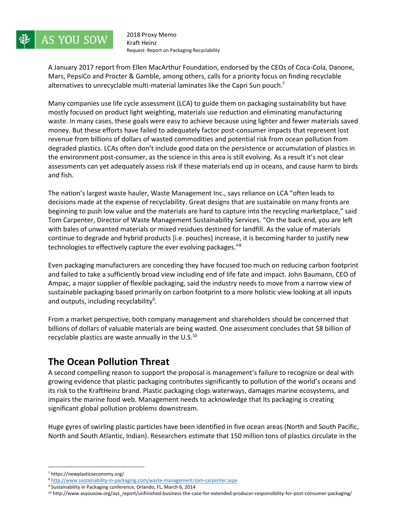

A January 2017 report from Ellen MacArthur Foundation, endorsed by the CEOs of Coca-Cola, Danone, Mars, PepsiCo and Procter & Gamble, among others, calls for a priority focus on finding recyclable alternatives to unrecyclable multi-material laminates like the Capri Sun pouch.<sup>7</sup>

Many companies use life cycle assessment (LCA) to guide them on packaging sustainability but have mostly focused on product light weighting, materials use reduction and eliminating manufacturing waste. In many cases, these goals were easy to achieve because using lighter and fewer materials saved money. But these efforts have failed to adequately factor post-consumer impacts that represent lost revenue from billions of dollars of wasted commodities and potential risk from ocean pollution from degraded plastics. LCAs often don't include good data on the persistence or accumulation of plastics in the environment post-consumer, as the science in this area is still evolving. As a result it's not clear assessments can yet adequately assess risk if these materials end up in oceans, and cause harm to birds and fish.

The nation's largest waste hauler, Waste Management Inc., says reliance on LCA "often leads to decisions made at the expense of recyclability. Great designs that are sustainable on many fronts are beginning to push low value and the materials are hard to capture into the recycling marketplace," said Tom Carpenter, Director of Waste Management Sustainability Services. "On the back end, you are left with bales of unwanted materials or mixed residues destined for landfill. As the value of materials continue to degrade and hybrid products [i.e. pouches] increase, it is becoming harder to justify new technologies to effectively capture the ever evolving packages."<sup>8</sup>

Even packaging manufacturers are conceding they have focused too much on reducing carbon footprint and failed to take a sufficiently broad view including end of life fate and impact. John Baumann, CEO of Ampac, a major supplier of flexible packaging, said the industry needs to move from a narrow view of sustainable packaging based primarily on carbon footprint to a more holistic view looking at all inputs and outputs, including recyclability<sup>9</sup>.

From a market perspective, both company management and shareholders should be concerned that billions of dollars of valuable materials are being wasted. One assessment concludes that \$8 billion of recyclable plastics are waste annually in the  $U.S.<sup>10</sup>$ 

#### **The Ocean Pollution Threat**

A second compelling reason to support the proposal is management's failure to recognize or deal with growing evidence that plastic packaging contributes significantly to pollution of the world's oceans and its risk to the KraftHeinz brand. Plastic packaging clogs waterways, damages marine ecosystems, and impairs the marine food web. Management needs to acknowledge that its packaging is creating significant global pollution problems downstream.

Huge gyres of swirling plastic particles have been identified in five ocean areas (North and South Pacific, North and South Atlantic, Indian). Researchers estimate that 150 million tons of plastics circulate in the

 $\overline{a}$ 

<sup>7</sup> https://newplasticseconomy.org/

<sup>8</sup> <http://www.sustainability-in-packaging.com/waste-management-tom-carpenter.aspx>

<sup>9</sup> Sustainability in Packaging conference, Orlando, FL, March 6, 2014

<sup>10</sup> http://www.asyousow.org/ays\_report/unfinished-business-the-case-for-extended-producer-responsibility-for-post-consumer-packaging/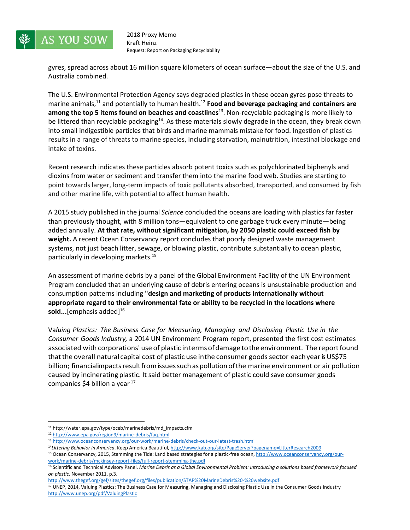

gyres, spread across about 16 million square kilometers of ocean surface—about the size of the U.S. and Australia combined.

The U.S. Environmental Protection Agency says degraded plastics in these ocean gyres pose threats to marine animals, <sup>11</sup> and potentially to human health. <sup>12</sup> **Food and beverage packaging and containers are**  among the top 5 items found on beaches and coastlines<sup>13</sup>. Non-recyclable packaging is more likely to be littered than recyclable packaging<sup>14</sup>. As these materials slowly degrade in the ocean, they break down into small indigestible particles that birds and marine mammals mistake for food. Ingestion of plastics results in a range of threats to marine species, including starvation, malnutrition, intestinal blockage and intake of toxins.

Recent research indicates these particles absorb potent toxics such as polychlorinated biphenyls and dioxins from water or sediment and transfer them into the marine food web. Studies are starting to point towards larger, long-term impacts of toxic pollutants absorbed, transported, and consumed by fish and other marine life, with potential to affect human health.

A 2015 study published in the journal *Science* concluded the oceans are loading with plastics far faster than previously thought, with 8 million tons—equivalent to one garbage truck every minute—being added annually. **At that rate, without significant mitigation, by 2050 plastic could exceed fish by weight.** A recent Ocean Conservancy report concludes that poorly designed waste management systems, not just beach litter, sewage, or blowing plastic, contribute substantially to ocean plastic, particularly in developing markets. 15

An assessment of marine debris by a panel of the Global Environment Facility of the UN Environment Program concluded that an underlying cause of debris entering oceans is unsustainable production and consumption patterns including **"design and marketing of products internationally without appropriate regard to their environmental fate or ability to be recycled in the locations where**  sold...<sup>[emphasis added]<sup>16</sup></sup>

Va*luing Plastics: The Business Case for Measuring, Managing and Disclosing Plastic Use in the Consumer Goods Industry,* a 2014 UN Environment Program report, presented the first cost estimates associated with corporations' use of plastic interms ofdamage tothe environment. The reportfound that the overall natural capital cost of plastic use in the consumer goods sector each year is US\$75 billion; financialimpacts result from issues such as pollution of the marine environment or air pollution caused by incinerating plastic. It said better management of plastic could save consumer goods companies \$4 billion a year  $17$ 

 $\overline{a}$ 

<http://www.thegef.org/gef/sites/thegef.org/files/publication/STAP%20MarineDebris%20-%20website.pdf>

<sup>11</sup> http://water.epa.gov/type/oceb/marinedebris/md\_impacts.cfm

<sup>12</sup> <http://www.epa.gov/region9/marine-debris/faq.html>

<sup>13</sup> <http://www.oceanconservancy.org/our-work/marine-debris/check-out-our-latest-trash.html>

<sup>14</sup>*Littering Behavior in America*, Keep America Beautiful, <http://www.kab.org/site/PageServer?pagename=LitterResearch2009>

<sup>&</sup>lt;sup>15</sup> Ocean Conservancy, 2015, Stemming the Tide: Land based strategies for a plastic-free ocean[, http://www.oceanconservancy.org/our](http://www.oceanconservancy.org/our-work/marine-debris/mckinsey-report-files/full-report-stemming-the.pdf)[work/marine-debris/mckinsey-report-files/full-report-stemming-the.pdf](http://www.oceanconservancy.org/our-work/marine-debris/mckinsey-report-files/full-report-stemming-the.pdf)

<sup>16</sup> Scientific and Technical Advisory Panel, *Marine Debris as a Global Environmental Problem: Introducing a solutions based framework focused on plastic*, November 2011, p.3.

<sup>&</sup>lt;sup>17</sup> UNEP, 2014, Valuing Plastics: The Business Case for Measuring, Managing and Disclosing Plastic Use in the Consumer Goods Industry <http://www.unep.org/pdf/ValuingPlastic>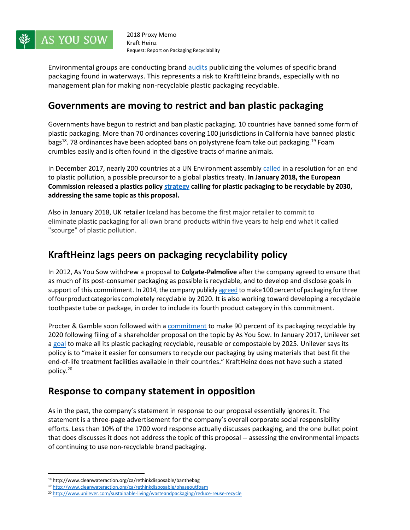

Environmental groups are conducting brand [audits](https://www.treehugger.com/corporate-responsibility/beach-audit-philippines-reveals-nestle-and-unilever-are-worst-offenders-plastic-waste.html) publicizing the volumes of specific brand packaging found in waterways. This represents a risk to KraftHeinz brands, especially with no management plan for making non-recyclable plastic packaging recyclable.

#### **Governments are moving to restrict and ban plastic packaging**

Governments have begun to restrict and ban plastic packaging. 10 countries have banned some form of plastic packaging. More than 70 ordinances covering 100 jurisdictions in California have banned plastic bags<sup>18</sup>. 78 ordinances have been adopted bans on polystyrene foam take out packaging.<sup>19</sup> Foam crumbles easily and is often found in the digestive tracts of marine animals.

In December 2017, nearly 200 countries at a UN Environment assembly [called](https://www.reuters.com/article/us-environment-un-pollution/nearly-200-nations-promise-to-stop-ocean-plastic-waste-idUSKBN1E02F7?feedType=RSS&feedName=environmentNews) in a resolution for an end to plastic pollution, a possible precursor to a global plastics treaty. **In January 2018, the European Commission released a plastics policy [strategy](http://europa.eu/rapid/press-release_IP-18-5_en.htm) calling for plastic packaging to be recyclable by 2030, addressing the same topic as this proposal.**

Also in January 2018, UK retailer Iceland has become the first major retailer to commit to eliminate plastic [packaging](https://www.telegraph.co.uk/politics/2018/01/11/theresa-may-pressure-introduce-plastic-bottle-deposit-scheme/) for all own brand products within five years to help end what it called "scourge" of plastic pollution.

#### **KraftHeinz lags peers on packaging recyclability policy**

In 2012, As You Sow withdrew a proposal to **Colgate-Palmolive** after the company agreed to ensure that as much of its post-consumer packaging as possible is recyclable, and to develop and disclose goals in support of this commitment. In 2014, the company publicl[y agreed](https://archive.asyousow.org/wp-content/uploads/2014/04/20140417-release-colgate_commits_to_100_percent_recyclable_packaging_by_2020.pdf) to make 100 percent of packaging for three offour product categories completely recyclable by 2020. It is also working toward developing a recyclable toothpaste tube or package, in order to include its fourth product category in this commitment.

Procter & Gamble soon followed with [a commitment](https://archive.asyousow.org/wp-content/uploads/2014/10/20141021-release-shareholders_representing_35bn_press_procter_and_gamble_for_recyclable_packaging.pdf) to make 90 percent of its packaging recyclable by 2020 following filing of a shareholder proposal on the topic by As You Sow. In January 2017, Unilever set a [goal](https://archive.asyousow.org/wp-content/uploads/2017/01/Release-20160119-Unilever-Packaging.pdf) to make all its plastic packaging recyclable, reusable or compostable by 2025. Unilever says its policy is to "make it easier for consumers to recycle our packaging by using materials that best fit the end-of-life treatment facilities available in their countries." KraftHeinz does not have such a stated policy.<sup>20</sup>

#### **Response to company statement in opposition**

As in the past, the company's statement in response to our proposal essentially ignores it. The statement is a three-page advertisement for the company's overall corporate social responsibility efforts. Less than 10% of the 1700 word response actually discusses packaging, and the one bullet point that does discusses it does not address the topic of this proposal -- assessing the environmental impacts of continuing to use non-recyclable brand packaging.

 $\overline{a}$ 

<sup>18</sup> http://www.cleanwateraction.org/ca/rethinkdisposable/banthebag

<sup>19</sup> <http://www.cleanwateraction.org/ca/rethinkdisposable/phaseoutfoam>

<sup>20</sup> <http://www.unilever.com/sustainable-living/wasteandpackaging/reduce-reuse-recycle>